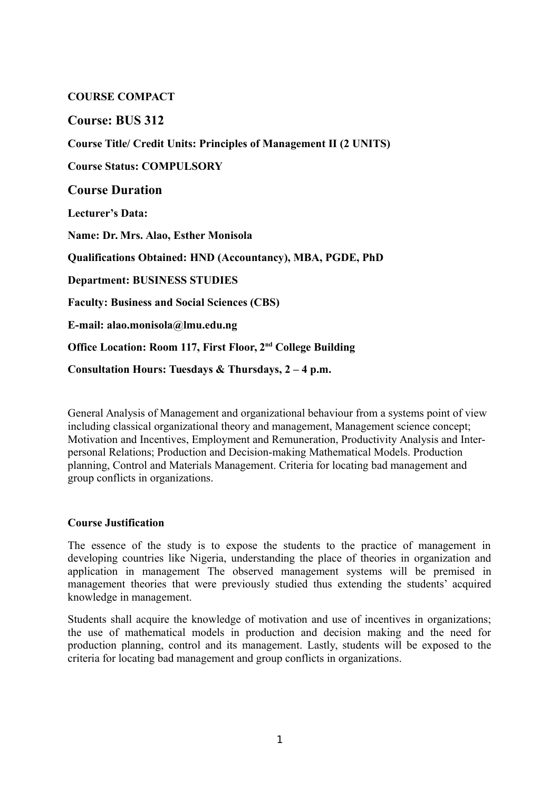## **COURSE COMPACT**

# **Course: BUS 312**

**Course Title/ Credit Units: Principles of Management II (2 UNITS)**

**Course Status: COMPULSORY**

**Course Duration**

**Lecturer's Data:** 

**Name: Dr. Mrs. Alao, Esther Monisola**

**Qualifications Obtained: HND (Accountancy), MBA, PGDE, PhD**

**Department: BUSINESS STUDIES**

**Faculty: Business and Social Sciences (CBS)**

**E-mail: alao.monisola@lmu.edu.ng**

**Office Location: Room 117, First Floor, 2nd College Building**

**Consultation Hours: Tuesdays & Thursdays, 2 – 4 p.m.** 

General Analysis of Management and organizational behaviour from a systems point of view including classical organizational theory and management, Management science concept; Motivation and Incentives, Employment and Remuneration, Productivity Analysis and Interpersonal Relations; Production and Decision-making Mathematical Models. Production planning, Control and Materials Management. Criteria for locating bad management and group conflicts in organizations.

### **Course Justification**

The essence of the study is to expose the students to the practice of management in developing countries like Nigeria, understanding the place of theories in organization and application in management The observed management systems will be premised in management theories that were previously studied thus extending the students' acquired knowledge in management.

Students shall acquire the knowledge of motivation and use of incentives in organizations; the use of mathematical models in production and decision making and the need for production planning, control and its management. Lastly, students will be exposed to the criteria for locating bad management and group conflicts in organizations.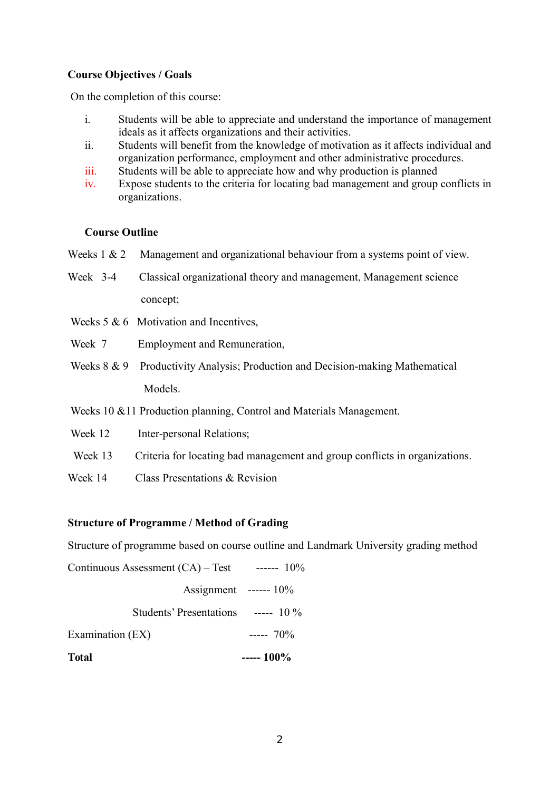### **Course Objectives / Goals**

On the completion of this course:

- i. Students will be able to appreciate and understand the importance of management ideals as it affects organizations and their activities.
- ii. Students will benefit from the knowledge of motivation as it affects individual and organization performance, employment and other administrative procedures.
- iii. Students will be able to appreciate how and why production is planned
- iv. Expose students to the criteria for locating bad management and group conflicts in organizations.

#### **Course Outline**

- Weeks 1 & 2 Management and organizational behaviour from a systems point of view.
- Week 3-4 Classical organizational theory and management, Management science concept;
- Weeks  $5 & 6$  Motivation and Incentives,
- Week 7 Employment and Remuneration,
- Weeks 8 & 9 Productivity Analysis; Production and Decision-making Mathematical Models.
- Weeks 10 &11 Production planning, Control and Materials Management.
- Week 12 Inter-personal Relations;
- Week 13 Criteria for locating bad management and group conflicts in organizations.
- Week 14 Class Presentations & Revision

#### **Structure of Programme / Method of Grading**

Structure of programme based on course outline and Landmark University grading method

Continuous Assessment (CA) – Test ------ 10% Assignment ------ 10% Students' Presentations ----- 10 % Examination  $(EX)$  -----  $70\%$ **Total ----- 100%**